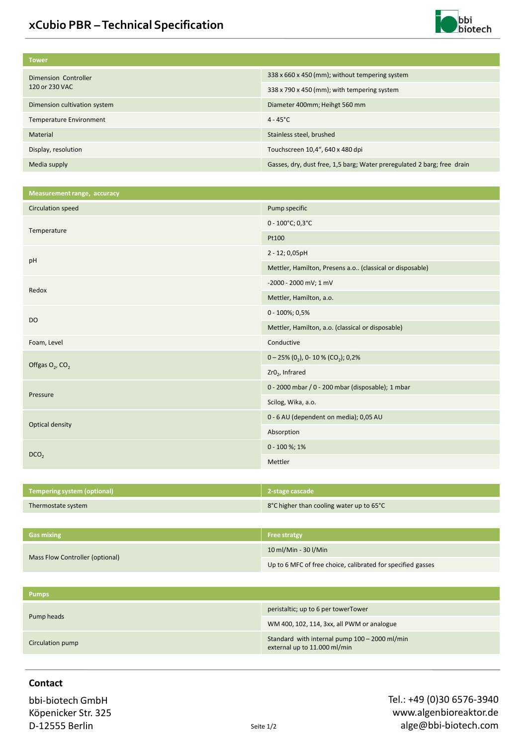

| <b>Tower</b>                           |                                                                         |
|----------------------------------------|-------------------------------------------------------------------------|
| Dimension Controller<br>120 or 230 VAC | 338 x 660 x 450 (mm); without tempering system                          |
|                                        | 338 x 790 x 450 (mm); with tempering system                             |
| Dimension cultivation system           | Diameter 400mm; Heihgt 560 mm                                           |
| Temperature Environment                | $4 - 45^{\circ}$ C                                                      |
| Material                               | Stainless steel, brushed                                                |
| Display, resolution                    | Touchscreen 10,4", 640 x 480 dpi                                        |
| Media supply                           | Gasses, dry, dust free, 1,5 barg; Water preregulated 2 barg; free drain |

| Measurement range, accuracy    |                                                          |
|--------------------------------|----------------------------------------------------------|
| Circulation speed              | Pump specific                                            |
| Temperature                    | $0 - 100^{\circ}$ C; 0,3 $^{\circ}$ C                    |
|                                | Pt100                                                    |
| pH                             | 2 - 12; 0,05pH                                           |
|                                | Mettler, Hamilton, Presens a.o (classical or disposable) |
| Redox                          | -2000 - 2000 mV; 1 mV                                    |
|                                | Mettler, Hamilton, a.o.                                  |
|                                | 0 - 100%; 0,5%                                           |
| <b>DO</b>                      | Mettler, Hamilton, a.o. (classical or disposable)        |
| Foam, Level                    | Conductive                                               |
| Offgas $O_2$ , CO <sub>2</sub> | $0 - 25\% (02)$ , 0-10 % (CO <sub>2</sub> ); 0,2%        |
|                                | Zr <sub>02</sub> , Infrared                              |
| Pressure                       | 0 - 2000 mbar / 0 - 200 mbar (disposable); 1 mbar        |
|                                | Scilog, Wika, a.o.                                       |
| <b>Optical density</b>         | 0 - 6 AU (dependent on media); 0,05 AU                   |
|                                | Absorption                                               |
| DCO <sub>2</sub>               | $0 - 100 \%$ ; 1%                                        |
|                                | Mettler                                                  |

| Tempering system (optional) 1 | 2-stage cascade                          |
|-------------------------------|------------------------------------------|
| Thermostate system            | 8°C higher than cooling water up to 65°C |

| <b>Gas mixing</b>               | <b>Free stratgy</b>                                         |
|---------------------------------|-------------------------------------------------------------|
| Mass Flow Controller (optional) | 10 ml/Min - 30 l/Min                                        |
|                                 | Up to 6 MFC of free choice, calibrated for specified gasses |

| <b>Pumps</b>     |                                                                               |
|------------------|-------------------------------------------------------------------------------|
| Pump heads       | peristaltic; up to 6 per towerTower                                           |
|                  | WM 400, 102, 114, 3xx, all PWM or analogue                                    |
| Circulation pump | Standard with internal pump 100 - 2000 ml/min<br>external up to 11.000 ml/min |

## **Contact**

bbi-biotech GmbH Köpenicker Str. 325 D-12555 Berlin